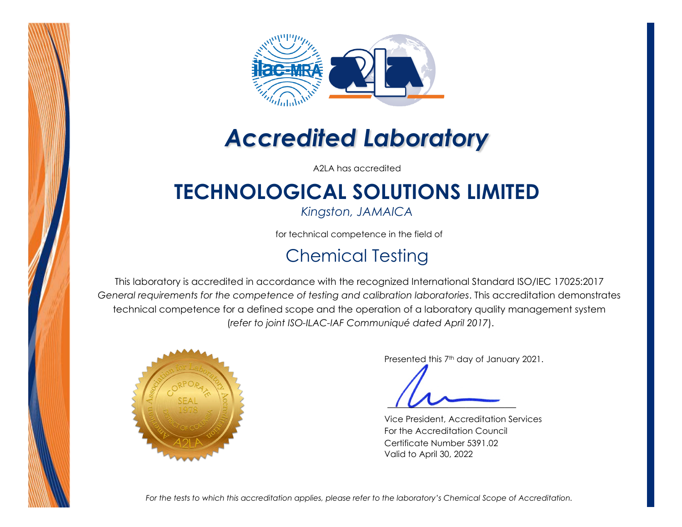



# *Accredited Laboratory*

A2LA has accredited

## **TECHNOLOGICAL SOLUTIONS LIMITED**

*Kingston, JAMAICA* 

for technical competence in the field of

#### Chemical Testing

This laboratory is accredited in accordance with the recognized International Standard ISO/IEC 17025:2017 *General requirements for the competence of testing and calibration laboratories*. This accreditation demonstrates technical competence for a defined scope and the operation of a laboratory quality management system (*refer to joint ISO-ILAC-IAF Communiqué dated April 2017*).



Presented this 7<sup>th</sup> day of January 2021.

Vice President, Accreditation Services For the Accreditation Council Certificate Number 5391.02 Valid to April 30, 2022

*For the tests to which this accreditation applies, please refer to the laboratory's Chemical Scope of Accreditation.*